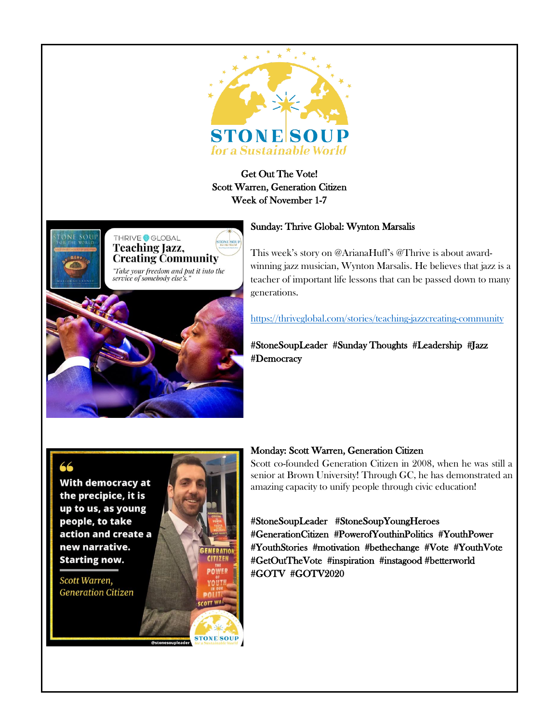

# Get Out The Vote! Scott Warren, Generation Citizen Week of November 1-7



#### Sunday: Thrive Global: Wynton Marsalis

This week's story on @ArianaHuff's @Thrive is about awardwinning jazz musician, Wynton Marsalis. He believes that jazz is a teacher of important life lessons that can be passed down to many generations.

<https://thriveglobal.com/stories/teaching-jazzcreating-community>

#StoneSoupLeader #Sunday Thoughts #Leadership #Jazz #Democracy

**With democracy at** the precipice, it is up to us, as young people, to take action and create a new narrative. **Starting now.** 

Scott Warren, **Generation Citizen** 



#### Monday: Scott Warren, Generation Citizen

Scott co-founded Generation Citizen in 2008, when he was still a senior at Brown University! Through GC, he has demonstrated an amazing capacity to unify people through civic education!

## #StoneSoupLeader #StoneSoupYoungHeroes #GenerationCitizen #PowerofYouthinPolitics #YouthPower #YouthStories #motivation #bethechange #Vote #YouthVote #GetOutTheVote #inspiration #instagood #betterworld #GOTV #GOTV2020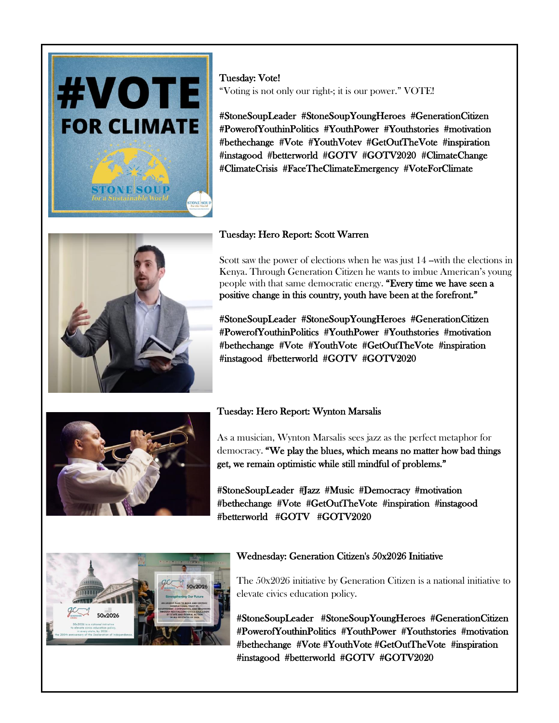

Tuesday: Vote! "Voting is not only our right-; it is our power." VOTE!

#StoneSoupLeader #StoneSoupYoungHeroes #GenerationCitizen #PowerofYouthinPolitics #YouthPower #Youthstories #motivation #bethechange #Vote #YouthVotev #GetOutTheVote #inspiration #instagood #betterworld #GOTV #GOTV2020 #ClimateChange #ClimateCrisis #FaceTheClimateEmergency #VoteForClimate



## Tuesday: Hero Report: Scott Warren

Scott saw the power of elections when he was just 14 -with the elections in Kenya. Through Generation Citizen he wants to imbue American's young people with that same democratic energy. "Every time we have seen a positive change in this country, youth have been at the forefront."

#StoneSoupLeader #StoneSoupYoungHeroes #GenerationCitizen #PowerofYouthinPolitics #YouthPower #Youthstories #motivation #bethechange #Vote #YouthVote #GetOutTheVote #inspiration #instagood #betterworld #GOTV #GOTV2020



# Tuesday: Hero Report: Wynton Marsalis

As a musician, Wynton Marsalis sees jazz as the perfect metaphor for democracy. "We play the blues, which means no matter how bad things get, we remain optimistic while still mindful of problems."

#StoneSoupLeader #Jazz #Music #Democracy #motivation #bethechange #Vote #GetOutTheVote #inspiration #instagood #betterworld #GOTV #GOTV2020



#### Wednesday: Generation Citizen's 50x2026 Initiative

The 50x2026 initiative by Generation Citizen is a national initiative to elevate civics education policy.

#StoneSoupLeader #StoneSoupYoungHeroes #GenerationCitizen #PowerofYouthinPolitics #YouthPower #Youthstories #motivation #bethechange #Vote #YouthVote #GetOutTheVote #inspiration #instagood #betterworld #GOTV #GOTV2020